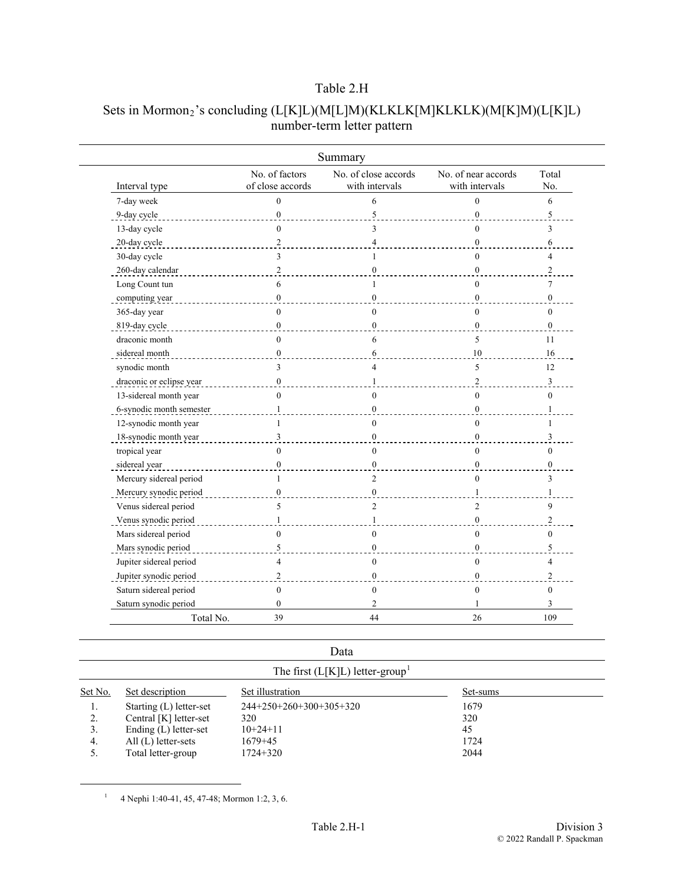## Table 2.H

## Sets in Mormon<sub>2</sub>'s concluding (L[K]L)(M[L]M)(KLKLK[M]KLKLK)(M[K]M)(L[K]L) number-term letter pattern

|                          |                                    | Summary                                |                                       |                |
|--------------------------|------------------------------------|----------------------------------------|---------------------------------------|----------------|
| Interval type            | No. of factors<br>of close accords | No. of close accords<br>with intervals | No. of near accords<br>with intervals | Total<br>No.   |
| 7-day week               | $\theta$                           | 6                                      | $\Omega$                              | 6              |
| 9-day cycle              | $\mathbf{0}$                       | 5                                      | $\theta$                              | 5              |
| 13-day cycle             | $\theta$                           | 3                                      | $\theta$                              | 3              |
| 20-day cycle             | $\overline{2}$                     | $\overline{4}$                         | $\mathbf{0}$                          | 6              |
| 30-day cycle             | 3                                  | 1                                      | $\Omega$                              | $\overline{4}$ |
| 260-day calendar         | $\overline{2}$                     | $\overline{0}$                         | $\theta$                              | 2              |
| Long Count tun           | 6                                  | 1                                      | $\theta$                              | 7              |
| computing year           | $\theta$                           | $\theta$                               | $\theta$                              | $\mathbf{0}$   |
| 365-day year             | $\theta$                           | $\theta$                               | $\theta$                              | $\theta$       |
| 819-day cycle            | $\mathbf{0}$                       | $\Omega$                               | $\theta$                              | $\mathbf{0}$   |
| draconic month           | $\mathbf{0}$                       | 6                                      | 5                                     | 11             |
| sidereal month           | $\theta$                           | 6                                      | 10                                    | 16             |
| synodic month            | 3                                  | $\overline{4}$                         | 5                                     | 12             |
| draconic or eclipse year | $\boldsymbol{0}$                   | 1                                      | $\overline{c}$                        | 3              |
| 13-sidereal month year   | $\theta$                           | $\mathbf{0}$                           | $\theta$                              | $\mathbf{0}$   |
| 6-synodic month semester | $\mathbf{1}$                       | $\overline{0}$                         | $\theta$                              | 1              |
| 12-synodic month year    | 1                                  | $\theta$                               | $\Omega$                              | $\mathbf{1}$   |
| 18-synodic month year    | 3                                  | $\theta$                               | $\theta$                              | 3              |
| tropical year            | $\mathbf{0}$                       | $\overline{0}$                         | $\theta$                              | $\theta$       |
| sidereal year            | $\boldsymbol{0}$                   | $\boldsymbol{0}$                       | $\mathbf{0}$                          | $\bf{0}$       |
| Mercury sidereal period  | 1                                  | 2                                      | $\Omega$                              | 3              |
| Mercury synodic period   | $\boldsymbol{0}$                   | $\overline{0}$                         | 1                                     | $\mathbf{1}$   |
| Venus sidereal period    | 5                                  | $\overline{2}$                         | $\overline{2}$                        | 9              |
| Venus synodic period     | $\mathbf{1}$                       | 1                                      | $\theta$                              | $\overline{c}$ |
| Mars sidereal period     | $\mathbf{0}$                       | $\overline{0}$                         | $\mathbf{0}$                          | $\mathbf{0}$   |
| Mars synodic period      | 5                                  | $\overline{0}$                         | $\theta$                              | 5              |
| Jupiter sidereal period  | $\overline{4}$                     | $\theta$                               | $\Omega$                              | $\overline{4}$ |
| Jupiter synodic period   | $\sqrt{2}$                         | $\boldsymbol{0}$                       | $\mathbf{0}$                          | $\overline{c}$ |
| Saturn sidereal period   | $\mathbf{0}$                       | $\mathbf{0}$                           | $\theta$                              | $\mathbf{0}$   |
| Saturn synodic period    | $\mathbf{0}$                       | $\overline{c}$                         | 1                                     | 3              |
| Total No.                | 39                                 | 44                                     | 26                                    | 109            |

| лата |  |
|------|--|

|                | The first $(L[K]L)$ letter-group |                           |          |  |  |
|----------------|----------------------------------|---------------------------|----------|--|--|
| Set No.        | Set description                  | Set illustration          | Set-sums |  |  |
| 1.             | Starting (L) letter-set          | $244+250+260+300+305+320$ | 1679     |  |  |
| 2.             | Central [K] letter-set           | 320                       | 320      |  |  |
| 3 <sub>1</sub> | Ending $(L)$ letter-set          | $10+24+11$                | 45       |  |  |
| 4.             | $All(L)$ letter-sets             | $1679 + 45$               | 1724     |  |  |
|                | Total letter-group               | 1724+320                  | 2044     |  |  |

<sup>1</sup> 4 Nephi 1:40-41, 45, 47-48; Mormon 1:2, 3, 6.

<span id="page-0-0"></span>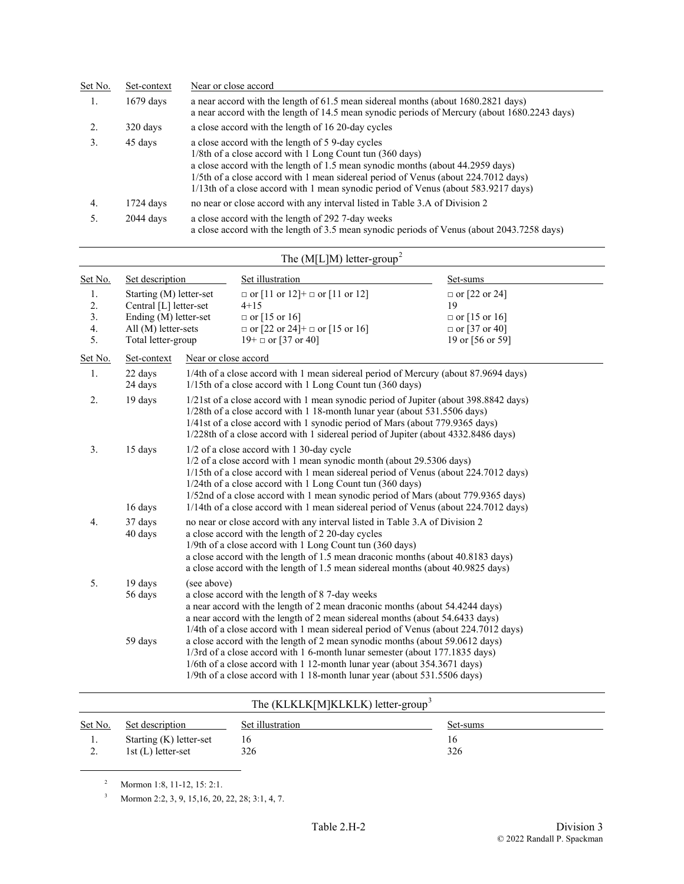| Set No. | Set-context | Near or close accord                                                                                                                                                                                                                                                                                                                                                       |
|---------|-------------|----------------------------------------------------------------------------------------------------------------------------------------------------------------------------------------------------------------------------------------------------------------------------------------------------------------------------------------------------------------------------|
|         | $1679$ days | a near accord with the length of 61.5 mean sidereal months (about 1680.2821 days)<br>a near accord with the length of 14.5 mean synodic periods of Mercury (about 1680.2243 days)                                                                                                                                                                                          |
|         | 320 days    | a close accord with the length of 16 20-day cycles                                                                                                                                                                                                                                                                                                                         |
| 3.      | 45 days     | a close accord with the length of 5 9-day cycles<br>1/8th of a close accord with 1 Long Count tun (360 days)<br>a close accord with the length of 1.5 mean synodic months (about 44.2959 days)<br>1/5th of a close accord with 1 mean sidereal period of Venus (about 224.7012 days)<br>1/13th of a close accord with 1 mean synodic period of Venus (about 583.9217 days) |
| 4.      | $1724$ days | no near or close accord with any interval listed in Table 3.A of Division 2                                                                                                                                                                                                                                                                                                |
|         | $2044$ days | a close accord with the length of 292 7-day weeks<br>a close accord with the length of 3.5 mean synodic periods of Venus (about 2043.7258 days)                                                                                                                                                                                                                            |

|                            |                                                                                                                         |                      | The $(M[L]M)$ letter-group <sup>2</sup>                                                                                                                                                                                                                                                                                                                            |                                                                                                |  |
|----------------------------|-------------------------------------------------------------------------------------------------------------------------|----------------------|--------------------------------------------------------------------------------------------------------------------------------------------------------------------------------------------------------------------------------------------------------------------------------------------------------------------------------------------------------------------|------------------------------------------------------------------------------------------------|--|
| Set No.                    | Set description                                                                                                         |                      | Set illustration                                                                                                                                                                                                                                                                                                                                                   | Set-sums                                                                                       |  |
| 1.<br>2.<br>3.<br>4.<br>5. | Starting (M) letter-set<br>Central [L] letter-set<br>Ending (M) letter-set<br>All (M) letter-sets<br>Total letter-group |                      | $\Box$ or [11 or 12] + $\Box$ or [11 or 12]<br>$4 + 15$<br>$\Box$ or [15 or 16]<br>$\Box$ or [22 or 24]+ $\Box$ or [15 or 16]<br>$19+$ or [37 or 40]                                                                                                                                                                                                               | $\Box$ or [22 or 24]<br>19<br>$\Box$ or [15 or 16]<br>$\Box$ or [37 or 40]<br>19 or [56 or 59] |  |
| Set No.                    | Set-context                                                                                                             | Near or close accord |                                                                                                                                                                                                                                                                                                                                                                    |                                                                                                |  |
| 1.                         | 22 days<br>24 days                                                                                                      |                      | 1/4th of a close accord with 1 mean sidereal period of Mercury (about 87.9694 days)<br>1/15th of a close accord with 1 Long Count tun (360 days)                                                                                                                                                                                                                   |                                                                                                |  |
| 2.                         | 19 days                                                                                                                 |                      | 1/21st of a close accord with 1 mean synodic period of Jupiter (about 398.8842 days)<br>1/28th of a close accord with 1 18-month lunar year (about 531.5506 days)<br>1/41st of a close accord with 1 synodic period of Mars (about 779.9365 days)<br>1/228th of a close accord with 1 sidereal period of Jupiter (about 4332.8486 days)                            |                                                                                                |  |
| 3.                         | 15 days                                                                                                                 |                      | 1/2 of a close accord with 1 30-day cycle<br>1/2 of a close accord with 1 mean synodic month (about 29.5306 days)<br>1/15th of a close accord with 1 mean sidereal period of Venus (about 224.7012 days)<br>1/24th of a close accord with 1 Long Count tun (360 days)<br>1/52nd of a close accord with 1 mean synodic period of Mars (about 779.9365 days)         |                                                                                                |  |
|                            | 16 days                                                                                                                 |                      | 1/14th of a close accord with 1 mean sidereal period of Venus (about 224.7012 days)                                                                                                                                                                                                                                                                                |                                                                                                |  |
| 4.                         | 37 days<br>40 days                                                                                                      |                      | no near or close accord with any interval listed in Table 3.A of Division 2<br>a close accord with the length of 2 20-day cycles<br>1/9th of a close accord with 1 Long Count tun (360 days)<br>a close accord with the length of 1.5 mean draconic months (about 40.8183 days)<br>a close accord with the length of 1.5 mean sidereal months (about 40.9825 days) |                                                                                                |  |
| 5.                         | 19 days<br>56 days                                                                                                      | (see above)          | a close accord with the length of 8 7-day weeks<br>a near accord with the length of 2 mean draconic months (about 54.4244 days)<br>a near accord with the length of 2 mean sidereal months (about 54.6433 days)<br>1/4th of a close accord with 1 mean sidereal period of Venus (about 224.7012 days)                                                              |                                                                                                |  |
|                            | 59 days                                                                                                                 |                      | a close accord with the length of 2 mean synodic months (about 59.0612 days)<br>1/3rd of a close accord with 1 6-month lunar semester (about 177.1835 days)<br>1/6th of a close accord with 1 12-month lunar year (about 354.3671 days)<br>1/9th of a close accord with 1 18-month lunar year (about 531.5506 days)                                                |                                                                                                |  |

## The (KLKLK[M]KLKLK) letter-group[3](#page-1-1)

| Set No.  | Set description         | Set illustration | Set-sums |
|----------|-------------------------|------------------|----------|
| . .      | Starting (K) letter-set | 16               | 326      |
| <u>.</u> | $1st(L)$ letter-set     | 326              |          |

<span id="page-1-1"></span><span id="page-1-0"></span>2 Mormon 1:8, 11-12, 15: 2:1.

3 Mormon 2:2, 3, 9, 15,16, 20, 22, 28; 3:1, 4, 7.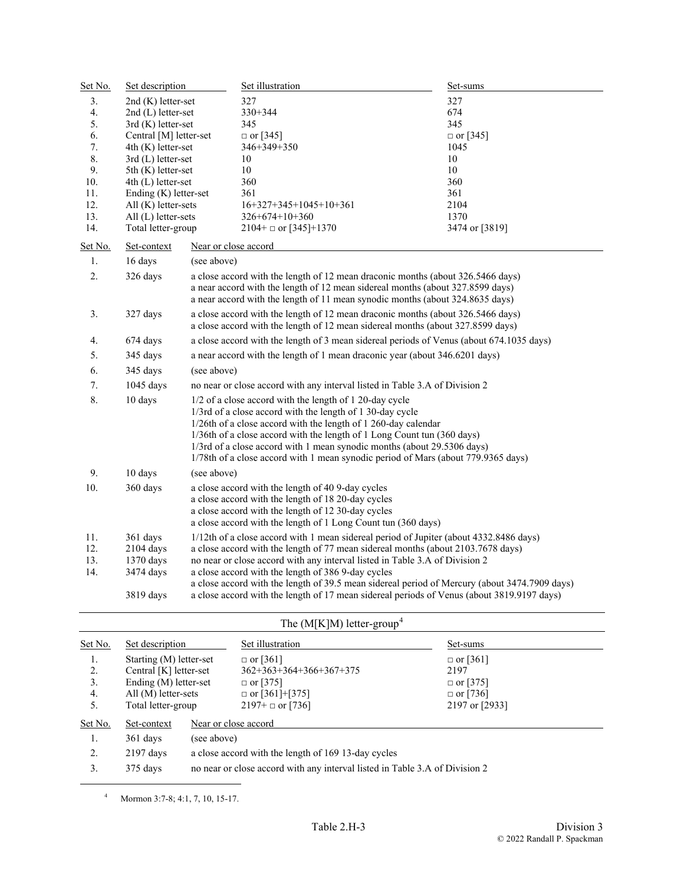| Set No.                  | Set description                                     |                                                                                                                                                                                                                                | Set illustration                                                                                                                                                                                                                                                                                                                                                                                                                  | Set-sums        |  |  |
|--------------------------|-----------------------------------------------------|--------------------------------------------------------------------------------------------------------------------------------------------------------------------------------------------------------------------------------|-----------------------------------------------------------------------------------------------------------------------------------------------------------------------------------------------------------------------------------------------------------------------------------------------------------------------------------------------------------------------------------------------------------------------------------|-----------------|--|--|
| 3.                       | $2nd(K)$ letter-set                                 |                                                                                                                                                                                                                                | 327                                                                                                                                                                                                                                                                                                                                                                                                                               | 327             |  |  |
| 4.                       | $2nd$ (L) letter-set                                |                                                                                                                                                                                                                                | 330+344                                                                                                                                                                                                                                                                                                                                                                                                                           | 674             |  |  |
| 5.                       | 3rd (K) letter-set                                  |                                                                                                                                                                                                                                | 345                                                                                                                                                                                                                                                                                                                                                                                                                               | 345             |  |  |
| 6.                       | Central [M] letter-set                              |                                                                                                                                                                                                                                | $\Box$ or [345]                                                                                                                                                                                                                                                                                                                                                                                                                   | $\Box$ or [345] |  |  |
| 7.                       | 4th (K) letter-set                                  |                                                                                                                                                                                                                                | 346+349+350                                                                                                                                                                                                                                                                                                                                                                                                                       | 1045            |  |  |
| 8.                       | $3rd$ (L) letter-set                                |                                                                                                                                                                                                                                | 10                                                                                                                                                                                                                                                                                                                                                                                                                                | 10              |  |  |
| 9.<br>10.                | 5th (K) letter-set<br>4th (L) letter-set            |                                                                                                                                                                                                                                | 10<br>360                                                                                                                                                                                                                                                                                                                                                                                                                         | 10<br>360       |  |  |
| 11.                      | Ending (K) letter-set                               |                                                                                                                                                                                                                                | 361                                                                                                                                                                                                                                                                                                                                                                                                                               | 361             |  |  |
| 12.                      | All $(K)$ letter-sets                               |                                                                                                                                                                                                                                | $16+327+345+1045+10+361$                                                                                                                                                                                                                                                                                                                                                                                                          | 2104            |  |  |
| 13.                      | All (L) letter-sets                                 |                                                                                                                                                                                                                                | 326+674+10+360                                                                                                                                                                                                                                                                                                                                                                                                                    | 1370            |  |  |
| 14.                      | Total letter-group                                  |                                                                                                                                                                                                                                | $2104+$ or [345]+1370                                                                                                                                                                                                                                                                                                                                                                                                             | 3474 or [3819]  |  |  |
| Set No.                  | Set-context                                         | Near or close accord                                                                                                                                                                                                           |                                                                                                                                                                                                                                                                                                                                                                                                                                   |                 |  |  |
| 1.                       | 16 days                                             | (see above)                                                                                                                                                                                                                    |                                                                                                                                                                                                                                                                                                                                                                                                                                   |                 |  |  |
| 2.                       | 326 days                                            |                                                                                                                                                                                                                                | a close accord with the length of 12 mean draconic months (about 326.5466 days)<br>a near accord with the length of 12 mean sidereal months (about 327.8599 days)<br>a near accord with the length of 11 mean synodic months (about 324.8635 days)                                                                                                                                                                                |                 |  |  |
| 3.                       | 327 days                                            |                                                                                                                                                                                                                                | a close accord with the length of 12 mean draconic months (about 326.5466 days)<br>a close accord with the length of 12 mean sidereal months (about 327.8599 days)                                                                                                                                                                                                                                                                |                 |  |  |
| 4.                       | 674 days                                            |                                                                                                                                                                                                                                | a close accord with the length of 3 mean sidereal periods of Venus (about 674.1035 days)                                                                                                                                                                                                                                                                                                                                          |                 |  |  |
| 5.                       | 345 days                                            |                                                                                                                                                                                                                                | a near accord with the length of 1 mean draconic year (about 346.6201 days)                                                                                                                                                                                                                                                                                                                                                       |                 |  |  |
| 6.                       | 345 days                                            |                                                                                                                                                                                                                                | (see above)                                                                                                                                                                                                                                                                                                                                                                                                                       |                 |  |  |
| 7.                       | $1045$ days                                         |                                                                                                                                                                                                                                | no near or close accord with any interval listed in Table 3.A of Division 2                                                                                                                                                                                                                                                                                                                                                       |                 |  |  |
| 8.                       | 10 days                                             |                                                                                                                                                                                                                                | 1/2 of a close accord with the length of 1 20-day cycle<br>1/3rd of a close accord with the length of 1 30-day cycle<br>1/26th of a close accord with the length of 1 260-day calendar<br>1/36th of a close accord with the length of 1 Long Count tun (360 days)<br>1/3rd of a close accord with 1 mean synodic months (about 29.5306 days)<br>1/78th of a close accord with 1 mean synodic period of Mars (about 779.9365 days) |                 |  |  |
| 9.                       | 10 days                                             | (see above)                                                                                                                                                                                                                    |                                                                                                                                                                                                                                                                                                                                                                                                                                   |                 |  |  |
| 10.                      | 360 days                                            | a close accord with the length of 40 9-day cycles<br>a close accord with the length of 18 20-day cycles<br>a close accord with the length of 12 30-day cycles<br>a close accord with the length of 1 Long Count tun (360 days) |                                                                                                                                                                                                                                                                                                                                                                                                                                   |                 |  |  |
| 11.<br>12.<br>13.<br>14. | 361 days<br>$2104$ days<br>$1370$ days<br>3474 days |                                                                                                                                                                                                                                | 1/12th of a close accord with 1 mean sidereal period of Jupiter (about 4332.8486 days)<br>a close accord with the length of 77 mean sidereal months (about 2103.7678 days)<br>no near or close accord with any interval listed in Table 3.A of Division 2<br>a close accord with the length of 386 9-day cycles<br>a close accord with the length of 39.5 mean sidereal period of Mercury (about 3474.7909 days)                  |                 |  |  |
|                          | 3819 days                                           |                                                                                                                                                                                                                                | a close accord with the length of 17 mean sidereal periods of Venus (about 3819.9197 days)                                                                                                                                                                                                                                                                                                                                        |                 |  |  |

|                  | The $(M[K]M)$ letter-group <sup>4</sup> |                                                                             |                           |                 |  |
|------------------|-----------------------------------------|-----------------------------------------------------------------------------|---------------------------|-----------------|--|
| Set No.          | Set description                         |                                                                             | Set illustration          | Set-sums        |  |
| 1.               | Starting (M) letter-set                 |                                                                             | $\Box$ or [361]           | $\Box$ or [361] |  |
| 2.               | Central [K] letter-set                  |                                                                             | $362+363+364+366+367+375$ | 2197            |  |
| 3.               | Ending $(M)$ letter-set                 |                                                                             | $\Box$ or [375]           | $\Box$ or [375] |  |
| 4.               | $All(M)$ letter-sets                    |                                                                             | $\Box$ or [361]+[375]     | $\Box$ or [736] |  |
| 5.               | Total letter-group                      |                                                                             | $2197 + \square$ or [736] | 2197 or [2933]  |  |
| Set No.          | Set-context                             | Near or close accord                                                        |                           |                 |  |
| 1.               | $361$ days                              | (see above)                                                                 |                           |                 |  |
| $\overline{2}$ . | $2197$ days                             | a close accord with the length of 169 13-day cycles                         |                           |                 |  |
| 3.               | 375 days                                | no near or close accord with any interval listed in Table 3.A of Division 2 |                           |                 |  |

<span id="page-2-0"></span>4 Mormon 3:7-8; 4:1, 7, 10, 15-17.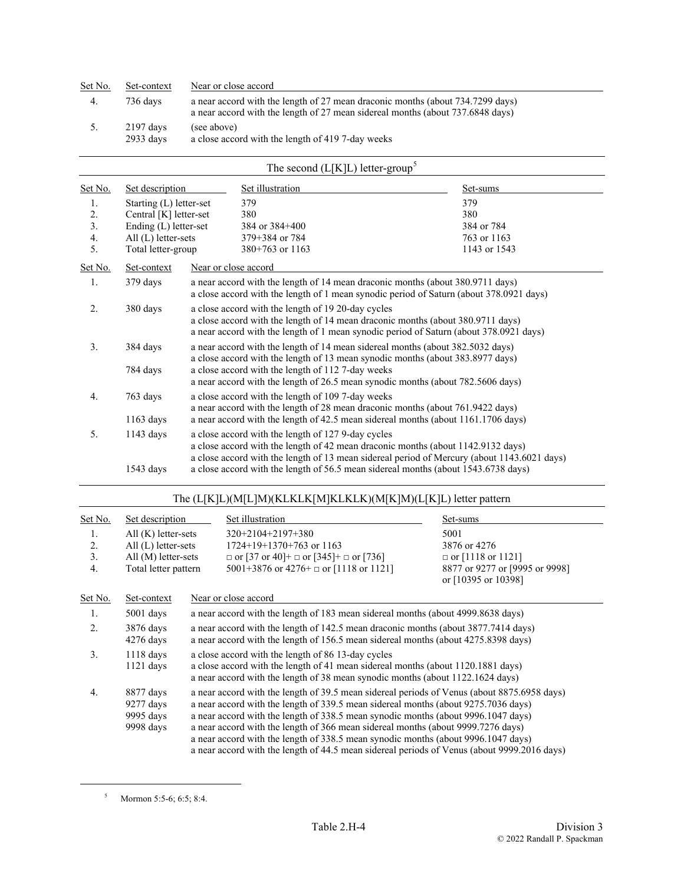| Set No. | Set-context                | Near or close accord                                                                                                                                             |
|---------|----------------------------|------------------------------------------------------------------------------------------------------------------------------------------------------------------|
| 4.      | 736 days                   | a near accord with the length of 27 mean draconic months (about 734.7299 days)<br>a near accord with the length of 27 mean sidereal months (about 737.6848 days) |
|         | $2197$ days<br>$2933$ days | (see above)<br>a close accord with the length of 419 7-day weeks                                                                                                 |

|                  |                         |                                                                                                                                                                                                                                 | The second $(L[K]L)$ letter-group <sup>5</sup>                                                                                                                   |                                                                                                                                                                                 |  |  |
|------------------|-------------------------|---------------------------------------------------------------------------------------------------------------------------------------------------------------------------------------------------------------------------------|------------------------------------------------------------------------------------------------------------------------------------------------------------------|---------------------------------------------------------------------------------------------------------------------------------------------------------------------------------|--|--|
| Set No.          | Set description         |                                                                                                                                                                                                                                 | Set illustration                                                                                                                                                 | Set-sums                                                                                                                                                                        |  |  |
| 1.               | Starting (L) letter-set |                                                                                                                                                                                                                                 | 379                                                                                                                                                              | 379                                                                                                                                                                             |  |  |
| 2.               | Central [K] letter-set  |                                                                                                                                                                                                                                 | 380                                                                                                                                                              | 380                                                                                                                                                                             |  |  |
| 3.               | Ending (L) letter-set   |                                                                                                                                                                                                                                 | 384 or 384+400                                                                                                                                                   | 384 or 784                                                                                                                                                                      |  |  |
| 4.               | All $(L)$ letter-sets   |                                                                                                                                                                                                                                 | 379+384 or 784                                                                                                                                                   | 763 or 1163                                                                                                                                                                     |  |  |
| 5.               | Total letter-group      |                                                                                                                                                                                                                                 | $380+763$ or 1163                                                                                                                                                | 1143 or 1543                                                                                                                                                                    |  |  |
| <u>Set No.</u>   | Set-context             |                                                                                                                                                                                                                                 | Near or close accord                                                                                                                                             |                                                                                                                                                                                 |  |  |
| 1.               | 379 days                | a near accord with the length of 14 mean draconic months (about 380.9711 days)<br>a close accord with the length of 1 mean synodic period of Saturn (about 378.0921 days)                                                       |                                                                                                                                                                  |                                                                                                                                                                                 |  |  |
| 2.               | 380 days                | a close accord with the length of 19 20-day cycles<br>a close accord with the length of 14 mean draconic months (about 380.9711 days)<br>a near accord with the length of 1 mean synodic period of Saturn (about 378.0921 days) |                                                                                                                                                                  |                                                                                                                                                                                 |  |  |
| 3.               | 384 days                |                                                                                                                                                                                                                                 | a near accord with the length of 14 mean sidereal months (about 382.5032 days)<br>a close accord with the length of 13 mean synodic months (about 383.8977 days) |                                                                                                                                                                                 |  |  |
|                  | 784 days                |                                                                                                                                                                                                                                 | a close accord with the length of 1127-day weeks<br>a near accord with the length of 26.5 mean synodic months (about 782.5606 days)                              |                                                                                                                                                                                 |  |  |
| $\overline{4}$ . | 763 days                |                                                                                                                                                                                                                                 | a close accord with the length of 109 7-day weeks                                                                                                                | a near accord with the length of 28 mean draconic months (about 761.9422 days)                                                                                                  |  |  |
|                  | $1163$ days             |                                                                                                                                                                                                                                 |                                                                                                                                                                  | a near accord with the length of 42.5 mean sidereal months (about 1161.1706 days)                                                                                               |  |  |
| 5.               | $1143$ days             |                                                                                                                                                                                                                                 | a close accord with the length of 127 9-day cycles                                                                                                               | a close accord with the length of 42 mean draconic months (about 1142.9132 days)<br>a close accord with the length of 13 mean sidereal period of Mercury (about 1143.6021 days) |  |  |
|                  | $1543$ days             |                                                                                                                                                                                                                                 |                                                                                                                                                                  | a close accord with the length of 56.5 mean sidereal months (about 1543.6738 days)                                                                                              |  |  |

## The (L[K]L)(M[L]M)(KLKLK[M]KLKLK)(M[K]M)(L[K]L) letter pattern

<span id="page-3-0"></span>

| Set No.              | Set description<br>$All(K)$ letter-sets<br>All $(L)$ letter-sets<br>$All(M)$ letter-sets<br>Total letter pattern                                                                                                                                                                                                                                                                                                                                                                                    |  | Set illustration                                                                                                                                                                                                         | Set-sums                                                                                                  |  |
|----------------------|-----------------------------------------------------------------------------------------------------------------------------------------------------------------------------------------------------------------------------------------------------------------------------------------------------------------------------------------------------------------------------------------------------------------------------------------------------------------------------------------------------|--|--------------------------------------------------------------------------------------------------------------------------------------------------------------------------------------------------------------------------|-----------------------------------------------------------------------------------------------------------|--|
| 1.<br>2.<br>3.<br>4. |                                                                                                                                                                                                                                                                                                                                                                                                                                                                                                     |  | 320+2104+2197+380<br>$1724+19+1370+763$ or 1163<br>$\Box$ or [37 or 40]+ $\Box$ or [345]+ $\Box$ or [736]<br>5001+3876 or 4276+ $\Box$ or [1118 or 1121]                                                                 | 5001<br>3876 or 4276<br>$\Box$ or [1118 or 1121]<br>8877 or 9277 or [9995 or 9998]<br>or [10395 or 10398] |  |
| Set No.              | Set-context                                                                                                                                                                                                                                                                                                                                                                                                                                                                                         |  | Near or close accord                                                                                                                                                                                                     |                                                                                                           |  |
| 1.                   | $5001$ days                                                                                                                                                                                                                                                                                                                                                                                                                                                                                         |  | a near accord with the length of 183 mean sidereal months (about 4999.8638 days)                                                                                                                                         |                                                                                                           |  |
| 2.                   | 3876 days<br>$4276$ days                                                                                                                                                                                                                                                                                                                                                                                                                                                                            |  | a near accord with the length of 142.5 mean draconic months (about 3877.7414 days)<br>a near accord with the length of 156.5 mean sidereal months (about 4275.8398 days)                                                 |                                                                                                           |  |
| 3.                   | $1118$ days<br>$1121$ days                                                                                                                                                                                                                                                                                                                                                                                                                                                                          |  | a close accord with the length of 86 13-day cycles<br>a close accord with the length of 41 mean sidereal months (about 1120.1881 days)<br>a near accord with the length of 38 mean synodic months (about 1122.1624 days) |                                                                                                           |  |
| 4.                   | a near accord with the length of 39.5 mean sidereal periods of Venus (about 8875.6958 days)<br>8877 days<br>a near accord with the length of 339.5 mean sidereal months (about 9275.7036 days)<br>9277 days<br>a near accord with the length of 338.5 mean synodic months (about 9996.1047 days)<br>9995 days<br>a near accord with the length of 366 mean sidereal months (about 9999.7276 days)<br>9998 days<br>a near accord with the length of 338.5 mean synodic months (about 9996.1047 days) |  |                                                                                                                                                                                                                          | a near accord with the length of 44.5 mean sidereal periods of Venus (about 9999.2016 days)               |  |